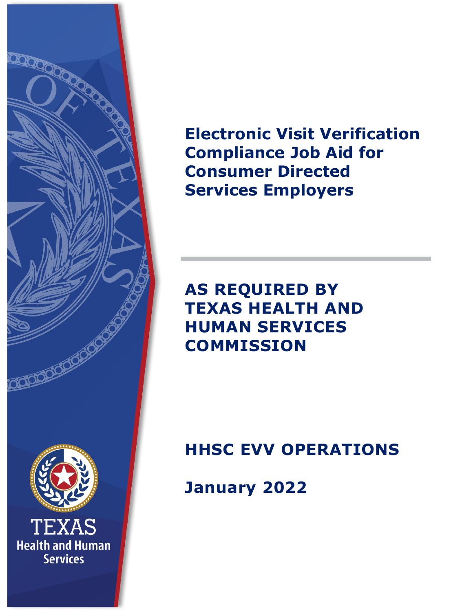

**Electronic Visit Verification Compliance Job Aid for Consumer Directed Services Employers**

# **AS REQUIRED BY TEXAS HEALTH AND HUMAN SERVICES COMMISSION**

**HHSC EVV OPERATIONS**

**January 2022**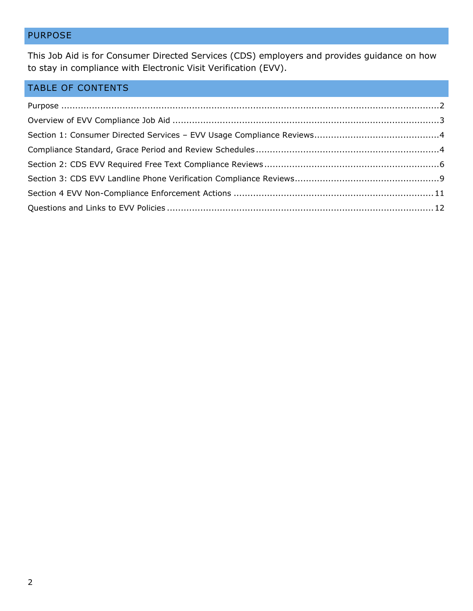# <span id="page-1-0"></span>PURPOSE

This Job Aid is for Consumer Directed Services (CDS) employers and provides guidance on how to stay in compliance with Electronic Visit Verification (EVV).

# TABLE OF CONTENTS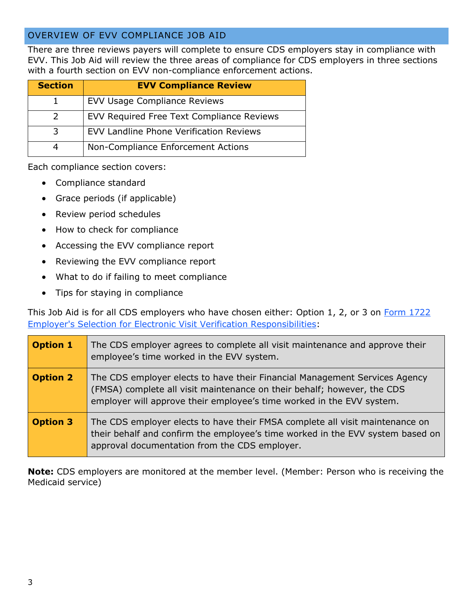# <span id="page-2-0"></span>OVERVIEW OF EVV COMPLIANCE JOB AID

There are three reviews payers will complete to ensure CDS employers stay in compliance with EVV. This Job Aid will review the three areas of compliance for CDS employers in three sections with a fourth section on EVV non-compliance enforcement actions.

| <b>Section</b> | <b>EVV Compliance Review</b>                   |
|----------------|------------------------------------------------|
|                | <b>EVV Usage Compliance Reviews</b>            |
|                | EVV Required Free Text Compliance Reviews      |
| 3              | <b>EVV Landline Phone Verification Reviews</b> |
|                | Non-Compliance Enforcement Actions             |

Each compliance section covers:

- Compliance standard
- Grace periods (if applicable)
- Review period schedules
- How to check for compliance
- Accessing the EVV compliance report
- Reviewing the EVV compliance report
- What to do if failing to meet compliance
- Tips for staying in compliance

This Job Aid is for all CDS employers who have chosen either: Option 1, 2, or 3 on Form 1722 [Employer's Selection for Electronic Visit Verification Responsibilities:](https://www.hhs.texas.gov/regulations/forms/1000-1999/form-1722-employers-selection-electronic-visit-verification-responsibilities)

| <b>Option 1</b> | The CDS employer agrees to complete all visit maintenance and approve their<br>employee's time worked in the EVV system.                                                                                                       |
|-----------------|--------------------------------------------------------------------------------------------------------------------------------------------------------------------------------------------------------------------------------|
| <b>Option 2</b> | The CDS employer elects to have their Financial Management Services Agency<br>(FMSA) complete all visit maintenance on their behalf; however, the CDS<br>employer will approve their employee's time worked in the EVV system. |
| <b>Option 3</b> | The CDS employer elects to have their FMSA complete all visit maintenance on<br>their behalf and confirm the employee's time worked in the EVV system based on<br>approval documentation from the CDS employer.                |

**Note:** CDS employers are monitored at the member level. (Member: Person who is receiving the Medicaid service)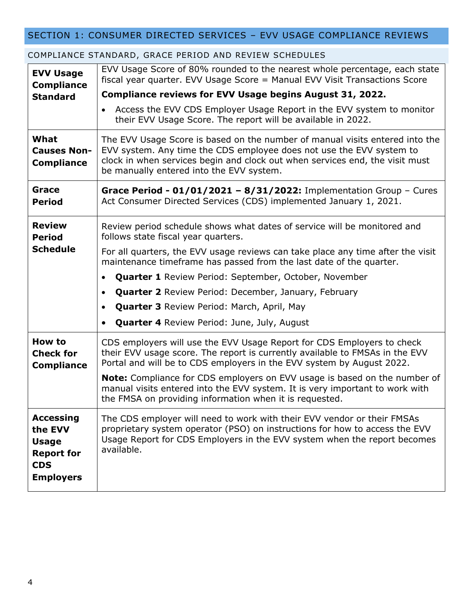# <span id="page-3-0"></span>SECTION 1: CONSUMER DIRECTED SERVICES – EVV USAGE COMPLIANCE REVIEWS

| <b>EVV Usage</b><br><b>Compliance</b><br><b>Standard</b><br>What                                   | EVV Usage Score of 80% rounded to the nearest whole percentage, each state<br>fiscal year quarter. EVV Usage Score = Manual EVV Visit Transactions Score<br>Compliance reviews for EVV Usage begins August 31, 2022.<br>Access the EVV CDS Employer Usage Report in the EVV system to monitor<br>$\bullet$<br>their EVV Usage Score. The report will be available in 2022.<br>The EVV Usage Score is based on the number of manual visits entered into the                                                                                                              |
|----------------------------------------------------------------------------------------------------|-------------------------------------------------------------------------------------------------------------------------------------------------------------------------------------------------------------------------------------------------------------------------------------------------------------------------------------------------------------------------------------------------------------------------------------------------------------------------------------------------------------------------------------------------------------------------|
| <b>Causes Non-</b><br><b>Compliance</b>                                                            | EVV system. Any time the CDS employee does not use the EVV system to<br>clock in when services begin and clock out when services end, the visit must<br>be manually entered into the EVV system.                                                                                                                                                                                                                                                                                                                                                                        |
| Grace<br><b>Period</b>                                                                             | Grace Period - $01/01/2021 - 8/31/2022$ : Implementation Group - Cures<br>Act Consumer Directed Services (CDS) implemented January 1, 2021.                                                                                                                                                                                                                                                                                                                                                                                                                             |
| <b>Review</b><br><b>Period</b><br><b>Schedule</b>                                                  | Review period schedule shows what dates of service will be monitored and<br>follows state fiscal year quarters.<br>For all quarters, the EVV usage reviews can take place any time after the visit<br>maintenance timeframe has passed from the last date of the quarter.<br><b>Quarter 1</b> Review Period: September, October, November<br>$\bullet$<br><b>Quarter 2</b> Review Period: December, January, February<br>$\bullet$<br><b>Quarter 3 Review Period: March, April, May</b><br>$\bullet$<br><b>Quarter 4 Review Period: June, July, August</b><br>$\bullet$ |
| <b>How to</b><br><b>Check for</b><br><b>Compliance</b>                                             | CDS employers will use the EVV Usage Report for CDS Employers to check<br>their EVV usage score. The report is currently available to FMSAs in the EVV<br>Portal and will be to CDS employers in the EVV system by August 2022.<br><b>Note:</b> Compliance for CDS employers on EVV usage is based on the number of<br>manual visits entered into the EVV system. It is very important to work with<br>the FMSA on providing information when it is requested.                                                                                                          |
| <b>Accessing</b><br>the EVV<br><b>Usage</b><br><b>Report for</b><br><b>CDS</b><br><b>Employers</b> | The CDS employer will need to work with their EVV vendor or their FMSAs<br>proprietary system operator (PSO) on instructions for how to access the EVV<br>Usage Report for CDS Employers in the EVV system when the report becomes<br>available.                                                                                                                                                                                                                                                                                                                        |

#### <span id="page-3-1"></span>COMPLIANCE STANDARD, GRACE PERIOD AND REVIEW SCHEDULES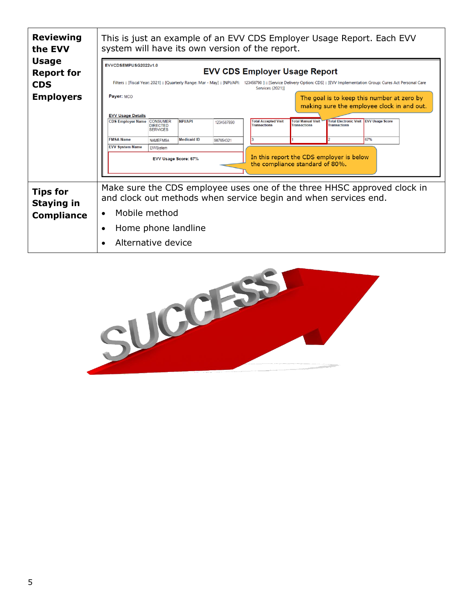| <b>Reviewing</b><br>the EVV                               | This is just an example of an EVV CDS Employer Usage Report. Each EVV<br>system will have its own version of the report.                                                                                                                                                                                                                                        |  |  |  |  |  |
|-----------------------------------------------------------|-----------------------------------------------------------------------------------------------------------------------------------------------------------------------------------------------------------------------------------------------------------------------------------------------------------------------------------------------------------------|--|--|--|--|--|
| <b>Usage</b><br><b>Report for</b><br><b>CDS</b>           | EVVCDSEMPUSG2022v1.0<br><b>EVV CDS Employer Usage Report</b><br>Filters :: [Fiscal Year: 2021] :: [Quarterly Range: Mar - May] :: [NPI/API: 123456790 ] :: [Service Delivery Option: CDS] :: [EVV Implementation Group: Cures Act Personal Care                                                                                                                 |  |  |  |  |  |
| <b>Employers</b>                                          | <b>Services (2021)]</b><br>Payer: MCO<br>The goal is to keep this number at zero by<br>making sure the employee clock in and out.                                                                                                                                                                                                                               |  |  |  |  |  |
|                                                           | <b>EVV Usage Details</b><br>Total Electronic Visit EVV Usage Score<br><b>CDS Employer Name CONSUMER</b><br><b>NPI/API</b><br><b>Total Accepted Visit</b><br><b>Total Manual Visit</b><br>1234567890<br><b>Transactions</b><br><b>Transactions</b><br><b>Transactions</b><br><b>DIRECTED</b><br><b>SERVICES</b><br><b>FMSA Name</b><br>67%<br><b>Medicaid ID</b> |  |  |  |  |  |
|                                                           | <b>NAMEFMSA</b><br>987654321<br><b>EVV System Name</b><br><b>EWSystem</b><br>In this report the CDS employer is below<br>EVV Usage Score: 67%<br>the compliance standard of 80%.                                                                                                                                                                                |  |  |  |  |  |
| <b>Tips for</b><br><b>Staying in</b><br><b>Compliance</b> | Make sure the CDS employee uses one of the three HHSC approved clock in<br>and clock out methods when service begin and when services end.<br>Mobile method<br>$\bullet$                                                                                                                                                                                        |  |  |  |  |  |
|                                                           | Home phone landline<br>Alternative device<br>$\epsilon$                                                                                                                                                                                                                                                                                                         |  |  |  |  |  |

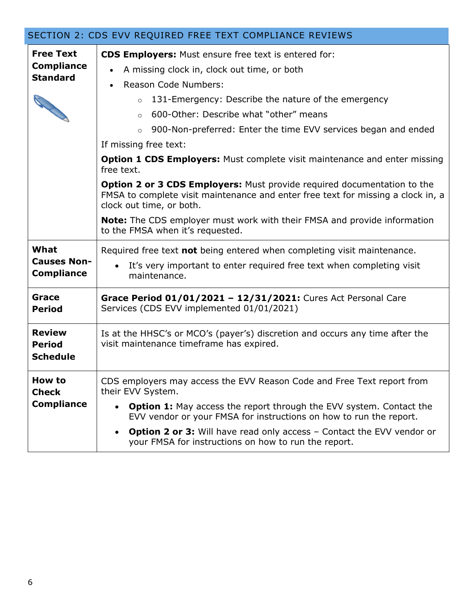<span id="page-5-0"></span>

|                                                                                              | SECTION 2: CDS EVV REQUIRED FREE TEXT COMPLIANCE REVIEWS                                                                                                                                                                                                                                                                                                                                                                                                                                                                                                   |
|----------------------------------------------------------------------------------------------|------------------------------------------------------------------------------------------------------------------------------------------------------------------------------------------------------------------------------------------------------------------------------------------------------------------------------------------------------------------------------------------------------------------------------------------------------------------------------------------------------------------------------------------------------------|
| <b>Free Text</b><br><b>Compliance</b><br><b>Standard</b><br>S Contraction of the Contraction | <b>CDS Employers:</b> Must ensure free text is entered for:<br>A missing clock in, clock out time, or both<br><b>Reason Code Numbers:</b><br>131-Emergency: Describe the nature of the emergency<br>$\circ$<br>600-Other: Describe what "other" means<br>$\circ$<br>900-Non-preferred: Enter the time EVV services began and ended<br>$\circ$<br>If missing free text:<br><b>Option 1 CDS Employers:</b> Must complete visit maintenance and enter missing<br>free text.<br><b>Option 2 or 3 CDS Employers:</b> Must provide required documentation to the |
|                                                                                              | FMSA to complete visit maintenance and enter free text for missing a clock in, a<br>clock out time, or both.<br><b>Note:</b> The CDS employer must work with their FMSA and provide information                                                                                                                                                                                                                                                                                                                                                            |
|                                                                                              | to the FMSA when it's requested.                                                                                                                                                                                                                                                                                                                                                                                                                                                                                                                           |
| What<br><b>Causes Non-</b><br><b>Compliance</b>                                              | Required free text not being entered when completing visit maintenance.<br>It's very important to enter required free text when completing visit<br>maintenance.                                                                                                                                                                                                                                                                                                                                                                                           |
| Grace<br><b>Period</b>                                                                       | Grace Period 01/01/2021 - 12/31/2021: Cures Act Personal Care<br>Services (CDS EVV implemented 01/01/2021)                                                                                                                                                                                                                                                                                                                                                                                                                                                 |
| <b>Review</b><br><b>Period</b><br><b>Schedule</b>                                            | Is at the HHSC's or MCO's (payer's) discretion and occurs any time after the<br>visit maintenance timeframe has expired.                                                                                                                                                                                                                                                                                                                                                                                                                                   |
| How to<br><b>Check</b><br><b>Compliance</b>                                                  | CDS employers may access the EVV Reason Code and Free Text report from<br>their EVV System.<br><b>Option 1:</b> May access the report through the EVV system. Contact the<br>EVV vendor or your FMSA for instructions on how to run the report.<br><b>Option 2 or 3:</b> Will have read only access – Contact the EVV vendor or<br>your FMSA for instructions on how to run the report.                                                                                                                                                                    |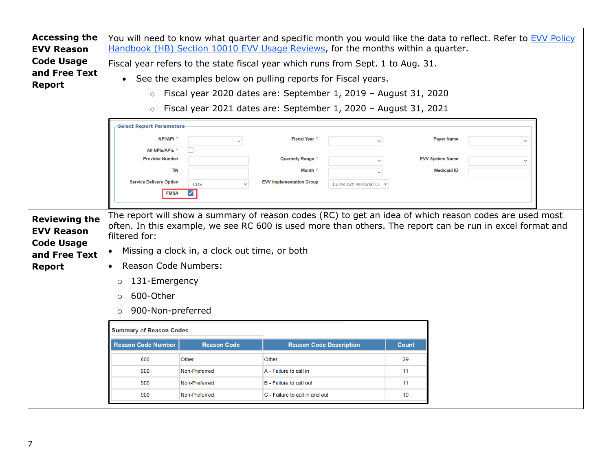| <b>Accessing the</b><br><b>EVV Reason</b><br><b>Code Usage</b><br>and Free Text<br><b>Report</b> | You will need to know what quarter and specific month you would like the data to reflect. Refer to EVV Policy<br>Handbook (HB) Section 10010 EVV Usage Reviews, for the months within a quarter.<br>Fiscal year refers to the state fiscal year which runs from Sept. 1 to Aug. 31.<br>See the examples below on pulling reports for Fiscal years.<br>$\bullet$<br>Fiscal year 2020 dates are: September 1, 2019 - August 31, 2020<br>$\circ$<br>Fiscal year 2021 dates are: September 1, 2020 - August 31, 2021<br>$\circ$ |                                                          |                                                                                                                   |                      |                                                                   |  |
|--------------------------------------------------------------------------------------------------|-----------------------------------------------------------------------------------------------------------------------------------------------------------------------------------------------------------------------------------------------------------------------------------------------------------------------------------------------------------------------------------------------------------------------------------------------------------------------------------------------------------------------------|----------------------------------------------------------|-------------------------------------------------------------------------------------------------------------------|----------------------|-------------------------------------------------------------------|--|
|                                                                                                  | <b>Select Report Parameters</b><br><b>NPI/API</b><br><b>All NPIs/APIs</b><br><b>Provider Number</b><br><b>TIN</b><br><b>Service Delivery Option</b><br><b>FMSA</b>                                                                                                                                                                                                                                                                                                                                                          | $\checkmark$<br><b>CDS</b><br>$\blacktriangledown$       | <b>Fiscal Year</b><br><b>Quarterly Range</b><br>Month<br><b>EVV Implementation Group</b><br>Cures Act Personal Ca |                      | <b>Payer Name</b><br><b>EVV System Name</b><br><b>Medicaid ID</b> |  |
| <b>Reviewing the</b><br><b>EVV Reason</b><br><b>Code Usage</b><br>and Free Text<br><b>Report</b> | The report will show a summary of reason codes (RC) to get an idea of which reason codes are used most<br>often. In this example, we see RC 600 is used more than others. The report can be run in excel format and<br>filtered for:<br>Missing a clock in, a clock out time, or both<br><b>Reason Code Numbers:</b><br>131-Emergency<br>$\circ$<br>600-Other<br>$\circ$<br>900-Non-preferred<br>$\circ$                                                                                                                    |                                                          |                                                                                                                   |                      |                                                                   |  |
|                                                                                                  | <b>Summary of Reason Codes</b><br><b>Reason Code Number</b><br><b>Reason Code</b><br><b>Reason Code Description</b><br>Count                                                                                                                                                                                                                                                                                                                                                                                                |                                                          |                                                                                                                   |                      |                                                                   |  |
|                                                                                                  | 600<br>900<br>900<br>900                                                                                                                                                                                                                                                                                                                                                                                                                                                                                                    | Other<br>Non-Preferred<br>Non-Preferred<br>Non-Preferred | Other<br>A - Failure to call in<br>B - Failure to call out<br>C - Failure to call in and out                      | 29<br>11<br>11<br>19 |                                                                   |  |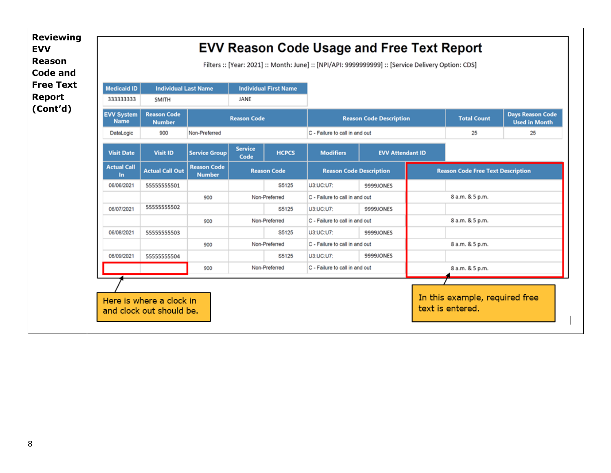|                                  |                                     |                                     |                        |                              | Filters :: [Year: 2021] :: Month: June] :: [NPI/API: 9999999999] :: [Service Delivery Option: CDS] |                                |                                          |                                                 |
|----------------------------------|-------------------------------------|-------------------------------------|------------------------|------------------------------|----------------------------------------------------------------------------------------------------|--------------------------------|------------------------------------------|-------------------------------------------------|
| <b>Medicaid ID</b>               | <b>Individual Last Name</b>         |                                     |                        | <b>Individual First Name</b> |                                                                                                    |                                |                                          |                                                 |
| 333333333                        | <b>SMITH</b>                        |                                     | JANE                   |                              |                                                                                                    |                                |                                          |                                                 |
| <b>EVV System</b><br><b>Name</b> | <b>Reason Code</b><br><b>Number</b> |                                     | <b>Reason Code</b>     |                              |                                                                                                    | <b>Reason Code Description</b> | <b>Total Count</b>                       | <b>Days Reason Code</b><br><b>Used in Month</b> |
| DataLogic                        | 900                                 | Non-Preferred                       |                        |                              | C - Failure to call in and out                                                                     |                                | 25                                       | 25                                              |
| <b>Visit Date</b>                | <b>Visit ID</b>                     | <b>Service Group</b>                | <b>Service</b><br>Code | <b>HCPCS</b>                 | <b>Modifiers</b>                                                                                   | <b>EVV Attendant ID</b>        |                                          |                                                 |
| <b>Actual Call</b><br>In.        | <b>Actual Call Out</b>              | <b>Reason Code</b><br><b>Number</b> |                        | <b>Reason Code</b>           | <b>Reason Code Description</b>                                                                     |                                | <b>Reason Code Free Text Description</b> |                                                 |
| 06/06/2021                       | 55555555501                         |                                     |                        | S5125                        | U3:UC:U7:                                                                                          | 9999JONES                      |                                          |                                                 |
|                                  |                                     | 900                                 |                        | Non-Preferred                | C - Failure to call in and out                                                                     |                                | 8 a.m. & 5 p.m.                          |                                                 |
| 06/07/2021                       | 55555555502                         |                                     |                        | S5125                        | U3:UC:U7:                                                                                          | 9999JONES                      |                                          |                                                 |
|                                  |                                     | 900                                 |                        | Non-Preferred                | C - Failure to call in and out                                                                     |                                | 8 a.m. & 5 p.m.                          |                                                 |
| 06/08/2021                       | 55555555503                         |                                     |                        | S5125                        | U3:UC:U7:                                                                                          | 9999JONES                      |                                          |                                                 |
|                                  |                                     | 900                                 |                        | Non-Preferred                | C - Failure to call in and out                                                                     |                                | 8 a.m. & 5 p.m.                          |                                                 |
| 06/09/2021                       | 55555555504                         |                                     |                        | S5125                        | U3:UC:U7:                                                                                          | 9999JONES                      |                                          |                                                 |
|                                  |                                     | 900                                 |                        | Non-Preferred                | C - Failure to call in and out                                                                     |                                | 8 a.m. & 5 p.m.                          |                                                 |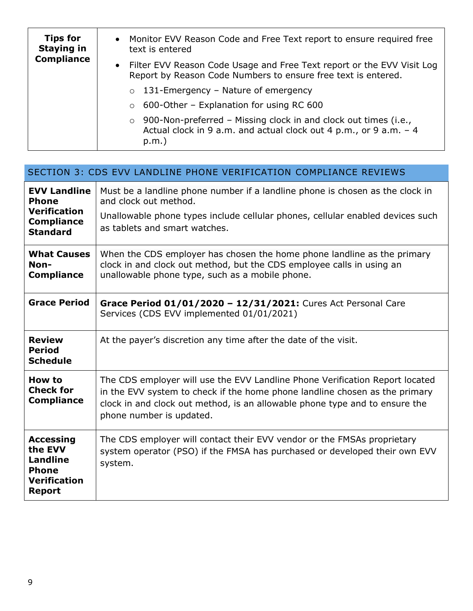| <b>Tips for</b><br><b>Staying in</b><br><b>Compliance</b> | • Monitor EVV Reason Code and Free Text report to ensure required free<br>text is entered                                                                   |
|-----------------------------------------------------------|-------------------------------------------------------------------------------------------------------------------------------------------------------------|
|                                                           | • Filter EVV Reason Code Usage and Free Text report or the EVV Visit Log<br>Report by Reason Code Numbers to ensure free text is entered.                   |
|                                                           | 131-Emergency – Nature of emergency<br>$\circ$                                                                                                              |
|                                                           | $\circ$ 600-Other – Explanation for using RC 600                                                                                                            |
|                                                           | 900-Non-preferred - Missing clock in and clock out times (i.e.,<br>$\circ$<br>Actual clock in 9 a.m. and actual clock out 4 p.m., or 9 a.m. - 4<br>$p.m.$ ) |

<span id="page-8-0"></span>

|                                                                                                        | SECTION 3: CDS EVV LANDLINE PHONE VERIFICATION COMPLIANCE REVIEWS                                                                                                                                                                                                      |
|--------------------------------------------------------------------------------------------------------|------------------------------------------------------------------------------------------------------------------------------------------------------------------------------------------------------------------------------------------------------------------------|
| <b>EVV Landline</b><br><b>Phone</b><br><b>Verification</b><br><b>Compliance</b><br><b>Standard</b>     | Must be a landline phone number if a landline phone is chosen as the clock in<br>and clock out method.<br>Unallowable phone types include cellular phones, cellular enabled devices such<br>as tablets and smart watches.                                              |
| <b>What Causes</b><br>Non-<br><b>Compliance</b>                                                        | When the CDS employer has chosen the home phone landline as the primary<br>clock in and clock out method, but the CDS employee calls in using an<br>unallowable phone type, such as a mobile phone.                                                                    |
| <b>Grace Period</b>                                                                                    | Grace Period 01/01/2020 - 12/31/2021: Cures Act Personal Care<br>Services (CDS EVV implemented 01/01/2021)                                                                                                                                                             |
| <b>Review</b><br><b>Period</b><br><b>Schedule</b>                                                      | At the payer's discretion any time after the date of the visit.                                                                                                                                                                                                        |
| <b>How to</b><br><b>Check for</b><br><b>Compliance</b>                                                 | The CDS employer will use the EVV Landline Phone Verification Report located<br>in the EVV system to check if the home phone landline chosen as the primary<br>clock in and clock out method, is an allowable phone type and to ensure the<br>phone number is updated. |
| <b>Accessing</b><br>the EVV<br><b>Landline</b><br><b>Phone</b><br><b>Verification</b><br><b>Report</b> | The CDS employer will contact their EVV vendor or the FMSAs proprietary<br>system operator (PSO) if the FMSA has purchased or developed their own EVV<br>system.                                                                                                       |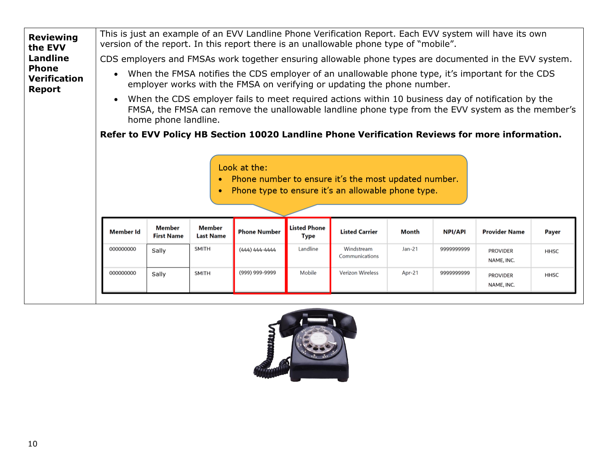

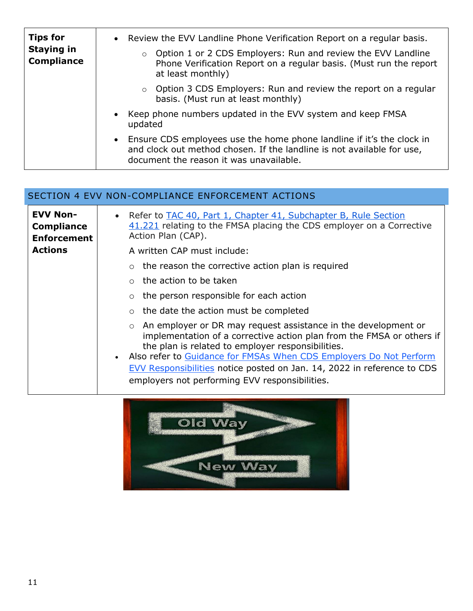| <b>Tips for</b><br><b>Staying in</b><br><b>Compliance</b> | • Review the EVV Landline Phone Verification Report on a regular basis.<br>o Option 1 or 2 CDS Employers: Run and review the EVV Landline<br>Phone Verification Report on a regular basis. (Must run the report<br>at least monthly) |
|-----------------------------------------------------------|--------------------------------------------------------------------------------------------------------------------------------------------------------------------------------------------------------------------------------------|
|                                                           | $\circ$ Option 3 CDS Employers: Run and review the report on a regular<br>basis. (Must run at least monthly)                                                                                                                         |
|                                                           | Keep phone numbers updated in the EVV system and keep FMSA<br>$\bullet$<br>updated                                                                                                                                                   |
|                                                           | • Ensure CDS employees use the home phone landline if it's the clock in<br>and clock out method chosen. If the landline is not available for use,<br>document the reason it was unavailable.                                         |

<span id="page-10-0"></span>

|                                                            | SECTION 4 EVV NON-COMPLIANCE ENFORCEMENT ACTIONS                                                                                                                                                                                                                                                                                                                                                                        |
|------------------------------------------------------------|-------------------------------------------------------------------------------------------------------------------------------------------------------------------------------------------------------------------------------------------------------------------------------------------------------------------------------------------------------------------------------------------------------------------------|
| <b>EVV Non-</b><br><b>Compliance</b><br><b>Enforcement</b> | Refer to TAC 40, Part 1, Chapter 41, Subchapter B, Rule Section<br>$\bullet$<br>41.221 relating to the FMSA placing the CDS employer on a Corrective<br>Action Plan (CAP).                                                                                                                                                                                                                                              |
| <b>Actions</b>                                             | A written CAP must include:                                                                                                                                                                                                                                                                                                                                                                                             |
|                                                            | $\circ$ the reason the corrective action plan is required                                                                                                                                                                                                                                                                                                                                                               |
|                                                            | $\circ$ the action to be taken                                                                                                                                                                                                                                                                                                                                                                                          |
|                                                            | the person responsible for each action                                                                                                                                                                                                                                                                                                                                                                                  |
|                                                            | $\circ$ the date the action must be completed                                                                                                                                                                                                                                                                                                                                                                           |
|                                                            | An employer or DR may request assistance in the development or<br>$\circ$<br>implementation of a corrective action plan from the FMSA or others if<br>the plan is related to employer responsibilities.<br>Also refer to Guidance for FMSAs When CDS Employers Do Not Perform<br>$\bullet$<br>EVV Responsibilities notice posted on Jan. 14, 2022 in reference to CDS<br>employers not performing EVV responsibilities. |